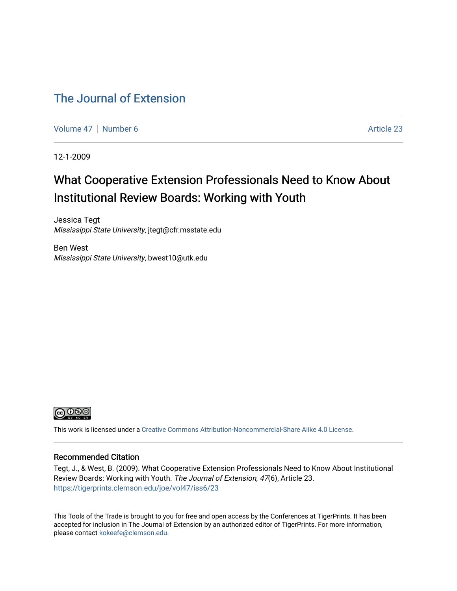### [The Journal of Extension](https://tigerprints.clemson.edu/joe)

[Volume 47](https://tigerprints.clemson.edu/joe/vol47) | [Number 6](https://tigerprints.clemson.edu/joe/vol47/iss6) Article 23

12-1-2009

### What Cooperative Extension Professionals Need to Know About Institutional Review Boards: Working with Youth

Jessica Tegt Mississippi State University, jtegt@cfr.msstate.edu

Ben West Mississippi State University, bwest10@utk.edu



This work is licensed under a [Creative Commons Attribution-Noncommercial-Share Alike 4.0 License.](https://creativecommons.org/licenses/by-nc-sa/4.0/)

#### Recommended Citation

Tegt, J., & West, B. (2009). What Cooperative Extension Professionals Need to Know About Institutional Review Boards: Working with Youth. The Journal of Extension, 47(6), Article 23. <https://tigerprints.clemson.edu/joe/vol47/iss6/23>

This Tools of the Trade is brought to you for free and open access by the Conferences at TigerPrints. It has been accepted for inclusion in The Journal of Extension by an authorized editor of TigerPrints. For more information, please contact [kokeefe@clemson.edu](mailto:kokeefe@clemson.edu).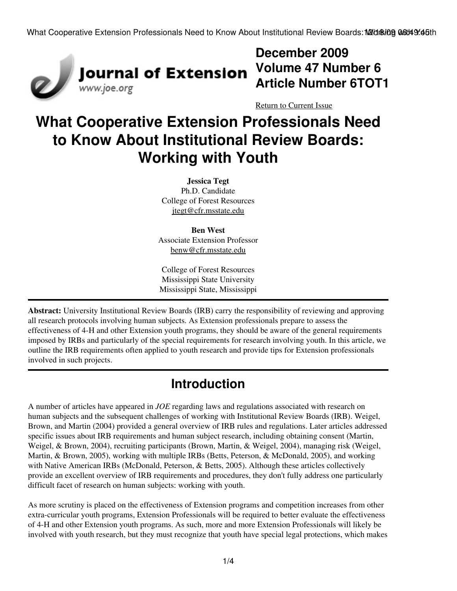

## **December 2009 Volume 47 Number 6 Article Number 6TOT1**

[Return to Current Issue](http://www.joe.org:80/joe/2009december/)

# **What Cooperative Extension Professionals Need to Know About Institutional Review Boards: Working with Youth**

**Jessica Tegt** Ph.D. Candidate College of Forest Resources [jtegt@cfr.msstate.edu](mailto:jtegt@cfr.msstate.edu)

**Ben West** Associate Extension Professor [benw@cfr.msstate.edu](mailto:benw@cfr.msstate.edu)

College of Forest Resources Mississippi State University Mississippi State, Mississippi

**Abstract:** University Institutional Review Boards (IRB) carry the responsibility of reviewing and approving all research protocols involving human subjects. As Extension professionals prepare to assess the effectiveness of 4-H and other Extension youth programs, they should be aware of the general requirements imposed by IRBs and particularly of the special requirements for research involving youth. In this article, we outline the IRB requirements often applied to youth research and provide tips for Extension professionals involved in such projects.

### **Introduction**

A number of articles have appeared in *JOE* regarding laws and regulations associated with research on human subjects and the subsequent challenges of working with Institutional Review Boards (IRB). Weigel, Brown, and Martin (2004) provided a general overview of IRB rules and regulations. Later articles addressed specific issues about IRB requirements and human subject research, including obtaining consent (Martin, Weigel, & Brown, 2004), recruiting participants (Brown, Martin, & Weigel, 2004), managing risk (Weigel, Martin, & Brown, 2005), working with multiple IRBs (Betts, Peterson, & McDonald, 2005), and working with Native American IRBs (McDonald, Peterson, & Betts, 2005). Although these articles collectively provide an excellent overview of IRB requirements and procedures, they don't fully address one particularly difficult facet of research on human subjects: working with youth.

As more scrutiny is placed on the effectiveness of Extension programs and competition increases from other extra-curricular youth programs, Extension Professionals will be required to better evaluate the effectiveness of 4-H and other Extension youth programs. As such, more and more Extension Professionals will likely be involved with youth research, but they must recognize that youth have special legal protections, which makes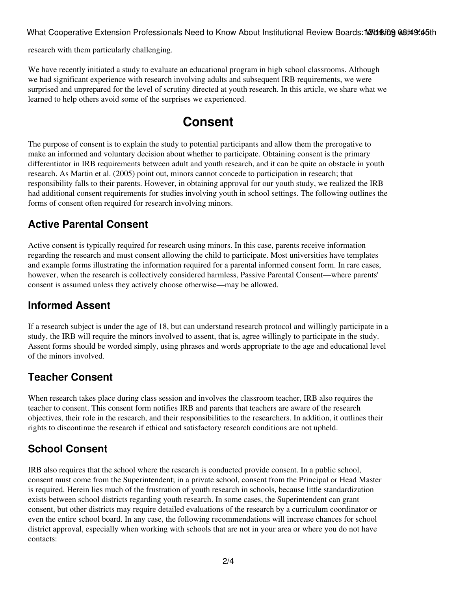What Cooperative Extension Professionals Need to Know About Institutional Review Boards: M2/dr&ing 06:t49:45th

research with them particularly challenging.

We have recently initiated a study to evaluate an educational program in high school classrooms. Although we had significant experience with research involving adults and subsequent IRB requirements, we were surprised and unprepared for the level of scrutiny directed at youth research. In this article, we share what we learned to help others avoid some of the surprises we experienced.

### **Consent**

The purpose of consent is to explain the study to potential participants and allow them the prerogative to make an informed and voluntary decision about whether to participate. Obtaining consent is the primary differentiator in IRB requirements between adult and youth research, and it can be quite an obstacle in youth research. As Martin et al. (2005) point out, minors cannot concede to participation in research; that responsibility falls to their parents. However, in obtaining approval for our youth study, we realized the IRB had additional consent requirements for studies involving youth in school settings. The following outlines the forms of consent often required for research involving minors.

#### **Active Parental Consent**

Active consent is typically required for research using minors. In this case, parents receive information regarding the research and must consent allowing the child to participate. Most universities have templates and example forms illustrating the information required for a parental informed consent form. In rare cases, however, when the research is collectively considered harmless, Passive Parental Consent—where parents' consent is assumed unless they actively choose otherwise—may be allowed.

#### **Informed Assent**

If a research subject is under the age of 18, but can understand research protocol and willingly participate in a study, the IRB will require the minors involved to assent, that is, agree willingly to participate in the study. Assent forms should be worded simply, using phrases and words appropriate to the age and educational level of the minors involved.

#### **Teacher Consent**

When research takes place during class session and involves the classroom teacher, IRB also requires the teacher to consent. This consent form notifies IRB and parents that teachers are aware of the research objectives, their role in the research, and their responsibilities to the researchers. In addition, it outlines their rights to discontinue the research if ethical and satisfactory research conditions are not upheld.

#### **School Consent**

IRB also requires that the school where the research is conducted provide consent. In a public school, consent must come from the Superintendent; in a private school, consent from the Principal or Head Master is required. Herein lies much of the frustration of youth research in schools, because little standardization exists between school districts regarding youth research. In some cases, the Superintendent can grant consent, but other districts may require detailed evaluations of the research by a curriculum coordinator or even the entire school board. In any case, the following recommendations will increase chances for school district approval, especially when working with schools that are not in your area or where you do not have contacts: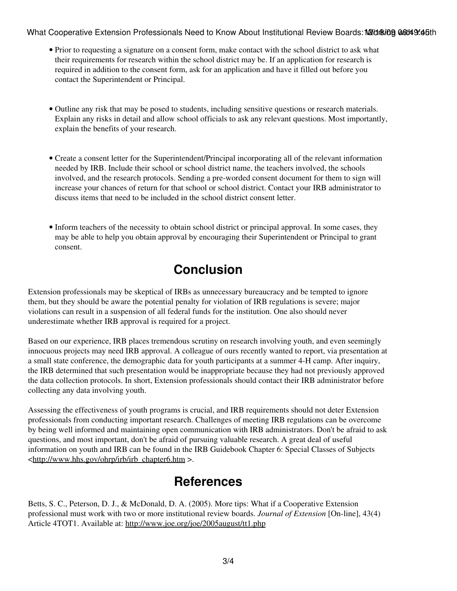What Cooperative Extension Professionals Need to Know About Institutional Review Boards: M2/d&ing 06:149:45th

- Prior to requesting a signature on a consent form, make contact with the school district to ask what their requirements for research within the school district may be. If an application for research is required in addition to the consent form, ask for an application and have it filled out before you contact the Superintendent or Principal.
- Outline any risk that may be posed to students, including sensitive questions or research materials. Explain any risks in detail and allow school officials to ask any relevant questions. Most importantly, explain the benefits of your research.
- Create a consent letter for the Superintendent/Principal incorporating all of the relevant information needed by IRB. Include their school or school district name, the teachers involved, the schools involved, and the research protocols. Sending a pre-worded consent document for them to sign will increase your chances of return for that school or school district. Contact your IRB administrator to discuss items that need to be included in the school district consent letter.
- Inform teachers of the necessity to obtain school district or principal approval. In some cases, they may be able to help you obtain approval by encouraging their Superintendent or Principal to grant consent.

## **Conclusion**

Extension professionals may be skeptical of IRBs as unnecessary bureaucracy and be tempted to ignore them, but they should be aware the potential penalty for violation of IRB regulations is severe; major violations can result in a suspension of all federal funds for the institution. One also should never underestimate whether IRB approval is required for a project.

Based on our experience, IRB places tremendous scrutiny on research involving youth, and even seemingly innocuous projects may need IRB approval. A colleague of ours recently wanted to report, via presentation at a small state conference, the demographic data for youth participants at a summer 4-H camp. After inquiry, the IRB determined that such presentation would be inappropriate because they had not previously approved the data collection protocols. In short, Extension professionals should contact their IRB administrator before collecting any data involving youth.

Assessing the effectiveness of youth programs is crucial, and IRB requirements should not deter Extension professionals from conducting important research. Challenges of meeting IRB regulations can be overcome by being well informed and maintaining open communication with IRB administrators. Don't be afraid to ask questions, and most important, don't be afraid of pursuing valuable research. A great deal of useful information on youth and IRB can be found in the IRB Guidebook Chapter 6: Special Classes of Subjects <[http://www.hhs.gov/ohrp/irb/irb\\_chapter6.htm](http://www.hhs.gov/ohrp/irb/irb_chapter6.htm) >.

### **References**

Betts, S. C., Peterson, D. J., & McDonald, D. A. (2005). More tips: What if a Cooperative Extension professional must work with two or more institutional review boards. *Journal of Extension* [On-line], 43(4) Article 4TOT1. Available at:<http://www.joe.org/joe/2005august/tt1.php>